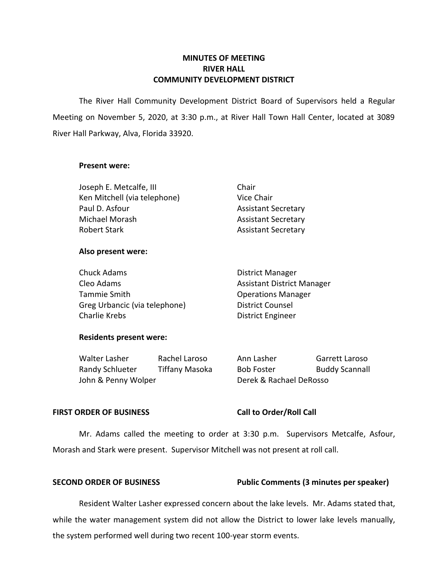## **MINUTES OF MEETING RIVER HALL COMMUNITY DEVELOPMENT DISTRICT**

 The River Hall Community Development District Board of Supervisors held a Regular Meeting on November 5, 2020, at 3:30 p.m., at River Hall Town Hall Center, located at 3089 River Hall Parkway, Alva, Florida 33920.

#### **Present were:**

| Joseph E. Metcalfe, III      | Chair                      |
|------------------------------|----------------------------|
| Ken Mitchell (via telephone) | Vice Chair                 |
| Paul D. Asfour               | <b>Assistant Secretary</b> |
| Michael Morash               | <b>Assistant Secretary</b> |
| <b>Robert Stark</b>          | <b>Assistant Secretary</b> |

### **Also present were:**

| Chuck Adams                   | <b>District Manager</b>           |
|-------------------------------|-----------------------------------|
| Cleo Adams                    | <b>Assistant District Manager</b> |
| Tammie Smith                  | <b>Operations Manager</b>         |
| Greg Urbancic (via telephone) | <b>District Counsel</b>           |
| Charlie Krebs                 | <b>District Engineer</b>          |

## **Residents present were:**

Walter Lasher Randy Schlueter John & Penny Wolper Rachel Laroso Tiffany Masoka Ann Lasher Garrett Laroso Bob Foster Buddy Scannall Derek & Rachael DeRosso

### FIRST ORDER OF BUSINESS Call to Order/Roll Call

 Mr. Adams called the meeting to order at 3:30 p.m. Supervisors Metcalfe, Asfour, Morash and Stark were present. Supervisor Mitchell was not present at roll call.

### **SECOND ORDER OF BUSINESS** Public Comments (3 minutes per speaker)

 Resident Walter Lasher expressed concern about the lake levels. Mr. Adams stated that, while the water management system did not allow the District to lower lake levels manually, the system performed well during two recent 100-year storm events.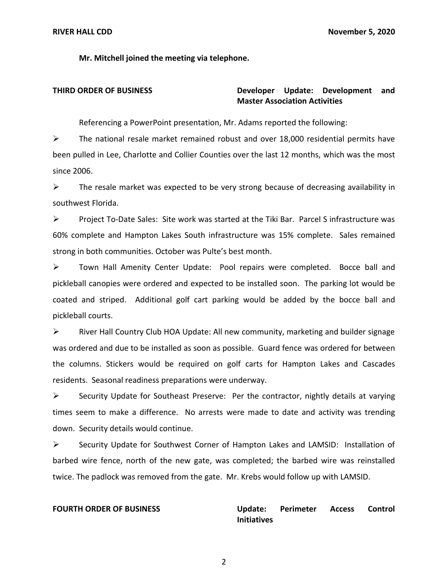**Mr. Mitchell joined the meeting via telephone.** 

## **THIRD ORDER OF BUSINESS Developer Update: Development and Master Association Activities**

Referencing a PowerPoint presentation, Mr. Adams reported the following:

 been pulled in Lee, Charlotte and Collier Counties over the last 12 months, which was the most  $\triangleright$  The national resale market remained robust and over 18,000 residential permits have since 2006.

 $\triangleright$  The resale market was expected to be very strong because of decreasing availability in southwest Florida.

 ➢ Project To-Date Sales: Site work was started at the Tiki Bar. Parcel S infrastructure was 60% complete and Hampton Lakes South infrastructure was 15% complete. Sales remained strong in both communities. October was Pulte's best month.

 ➢ Town Hall Amenity Center Update: Pool repairs were completed. Bocce ball and pickleball canopies were ordered and expected to be installed soon. The parking lot would be coated and striped. Additional golf cart parking would be added by the bocce ball and pickleball courts.

 ➢ River Hall Country Club HOA Update: All new community, marketing and builder signage was ordered and due to be installed as soon as possible. Guard fence was ordered for between the columns. Stickers would be required on golf carts for Hampton Lakes and Cascades residents. Seasonal readiness preparations were underway.

 ➢ Security Update for Southeast Preserve: Per the contractor, nightly details at varying times seem to make a difference. No arrests were made to date and activity was trending down. Security details would continue.

 ➢ Security Update for Southwest Corner of Hampton Lakes and LAMSID: Installation of barbed wire fence, north of the new gate, was completed; the barbed wire was reinstalled twice. The padlock was removed from the gate. Mr. Krebs would follow up with LAMSID.

**Perimeter FOURTH ORDER OF BUSINESS Update: Perimeter Access Control Initiatives** 

2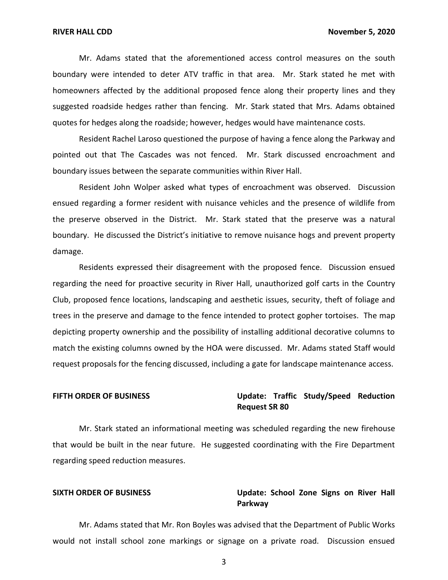Mr. Adams stated that the aforementioned access control measures on the south boundary were intended to deter ATV traffic in that area. Mr. Stark stated he met with suggested roadside hedges rather than fencing. Mr. Stark stated that Mrs. Adams obtained homeowners affected by the additional proposed fence along their property lines and they quotes for hedges along the roadside; however, hedges would have maintenance costs.

 Resident Rachel Laroso questioned the purpose of having a fence along the Parkway and pointed out that The Cascades was not fenced. Mr. Stark discussed encroachment and boundary issues between the separate communities within River Hall.

 Resident John Wolper asked what types of encroachment was observed. Discussion the preserve observed in the District. Mr. Stark stated that the preserve was a natural boundary. He discussed the District's initiative to remove nuisance hogs and prevent property damage. damage. Residents expressed their disagreement with the proposed fence. Discussion ensued ensued regarding a former resident with nuisance vehicles and the presence of wildlife from

 regarding the need for proactive security in River Hall, unauthorized golf carts in the Country Club, proposed fence locations, landscaping and aesthetic issues, security, theft of foliage and trees in the preserve and damage to the fence intended to protect gopher tortoises. The map depicting property ownership and the possibility of installing additional decorative columns to match the existing columns owned by the HOA were discussed. Mr. Adams stated Staff would request proposals for the fencing discussed, including a gate for landscape maintenance access.

## FIFTH ORDER OF BUSINESS **THE STATE STATE Update: Traffic Study/Speed Reduction Request SR 80**

 Mr. Stark stated an informational meeting was scheduled regarding the new firehouse that would be built in the near future. He suggested coordinating with the Fire Department regarding speed reduction measures.

### SIXTH ORDER OF BUSINESS **The State Conduct Contact Contact Cone** Signs on River Hall **Parkway**

 Mr. Adams stated that Mr. Ron Boyles was advised that the Department of Public Works would not install school zone markings or signage on a private road. Discussion ensued

3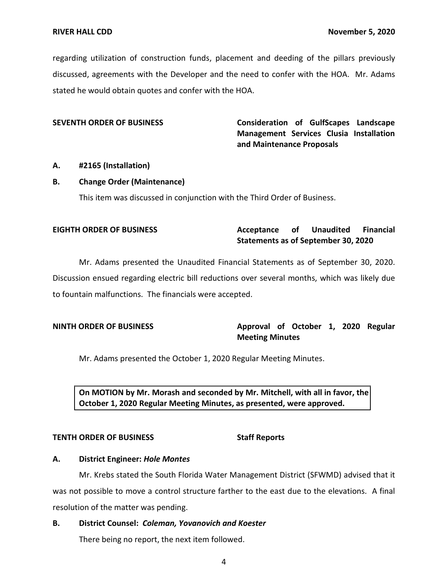regarding utilization of construction funds, placement and deeding of the pillars previously discussed, agreements with the Developer and the need to confer with the HOA. Mr. Adams stated he would obtain quotes and confer with the HOA.

 **SEVENTH ORDER OF BUSINESS Consideration of GulfScapes Landscape Management Services Clusia Installation and Maintenance Proposals** 

### **A. #2165 (Installation)**

#### **B. Change Order (Maintenance)**

This item was discussed in conjunction with the Third Order of Business.

# **EIGHTH ORDER OF BUSINESS Acceptance** of Unaudited Financial  **Statements as of September 30, 2020**

 Mr. Adams presented the Unaudited Financial Statements as of September 30, 2020. Discussion ensued regarding electric bill reductions over several months, which was likely due to fountain malfunctions. The financials were accepted.

## **NINTH ORDER OF BUSINESS Approval of October 1, 2020 Regular Meeting Minutes**

Mr. Adams presented the October 1, 2020 Regular Meeting Minutes.

 **On MOTION by Mr. Morash and seconded by Mr. Mitchell, with all in favor, the October 1, 2020 Regular Meeting Minutes, as presented, were approved.** 

### **TENTH ORDER OF BUSINESS STATES STAFF REPORTS**

## **A. District Engineer:** *Hole Montes*

 Mr. Krebs stated the South Florida Water Management District (SFWMD) advised that it was not possible to move a control structure farther to the east due to the elevations. A final resolution of the matter was pending.

### **B. District Counsel:** *Coleman, Yovanovich and Koester*

There being no report, the next item followed.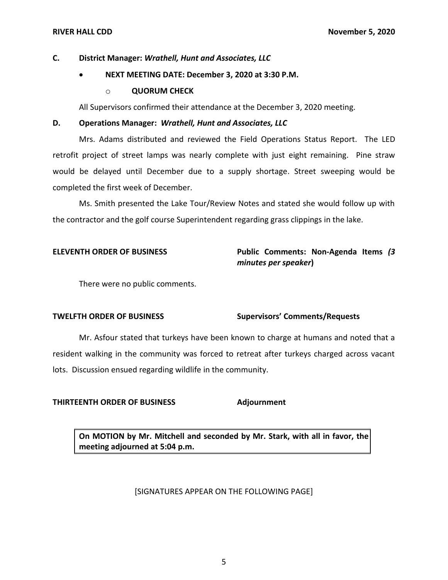## **C. District Manager:** *Wrathell, Hunt and Associates, LLC*

# • **NEXT MEETING DATE: December 3, 2020 at 3:30 P.M.**

## o **QUORUM CHECK**

All Supervisors confirmed their attendance at the December 3, 2020 meeting.

### **D. Operations Manager:** *Wrathell, Hunt and Associates, LLC*

 Mrs. Adams distributed and reviewed the Field Operations Status Report. The LED retrofit project of street lamps was nearly complete with just eight remaining. Pine straw would be delayed until December due to a supply shortage. Street sweeping would be completed the first week of December.

 Ms. Smith presented the Lake Tour/Review Notes and stated she would follow up with the contractor and the golf course Superintendent regarding grass clippings in the lake.

# **ELEVENTH ORDER OF BUSINESS Public Comments: Non-Agenda Items** *(3 minutes per speaker***)**

There were no public comments.

## **TWELFTH ORDER OF BUSINESS Supervisors' Comments/Requests**

 Mr. Asfour stated that turkeys have been known to charge at humans and noted that a resident walking in the community was forced to retreat after turkeys charged across vacant lots. Discussion ensued regarding wildlife in the community.

### **THIRTEENTH ORDER OF BUSINESS Adjournment**

 **On MOTION by Mr. Mitchell and seconded by Mr. Stark, with all in favor, the meeting adjourned at 5:04 p.m.** 

## [SIGNATURES APPEAR ON THE FOLLOWING PAGE]